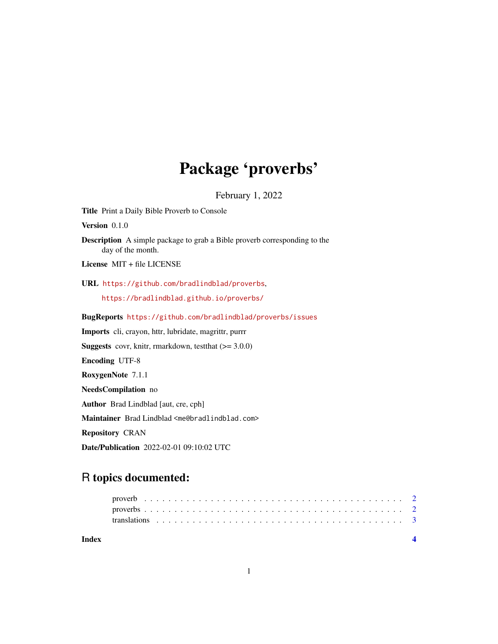# Package 'proverbs'

February 1, 2022

Title Print a Daily Bible Proverb to Console Version 0.1.0 Description A simple package to grab a Bible proverb corresponding to the day of the month. License MIT + file LICENSE URL <https://github.com/bradlindblad/proverbs>, <https://bradlindblad.github.io/proverbs/> BugReports <https://github.com/bradlindblad/proverbs/issues> Imports cli, crayon, httr, lubridate, magrittr, purrr **Suggests** covr, knitr, rmarkdown, test that  $(>= 3.0.0)$ Encoding UTF-8 RoxygenNote 7.1.1 NeedsCompilation no Author Brad Lindblad [aut, cre, cph] Maintainer Brad Lindblad <me@bradlindblad.com> Repository CRAN Date/Publication 2022-02-01 09:10:02 UTC

# R topics documented:

**Index** [4](#page-3-0)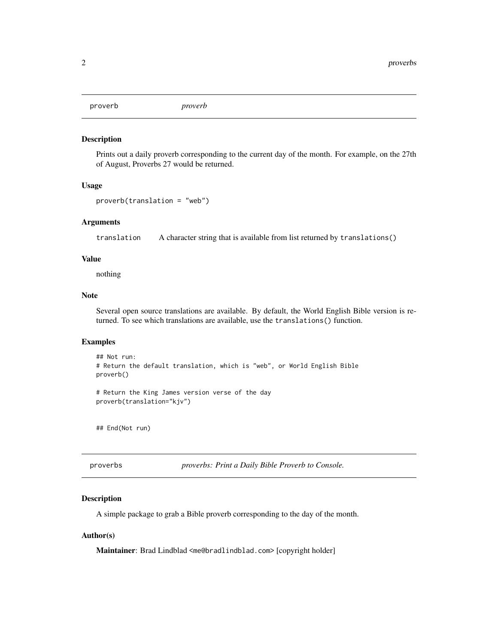<span id="page-1-0"></span>proverb *proverb*

#### Description

Prints out a daily proverb corresponding to the current day of the month. For example, on the 27th of August, Proverbs 27 would be returned.

#### Usage

```
proverb(translation = "web")
```
#### Arguments

translation A character string that is available from list returned by translations()

#### Value

nothing

#### Note

Several open source translations are available. By default, the World English Bible version is returned. To see which translations are available, use the translations() function.

## Examples

```
## Not run:
# Return the default translation, which is "web", or World English Bible
proverb()
```

```
# Return the King James version verse of the day
proverb(translation="kjv")
```
## End(Not run)

proverbs *proverbs: Print a Daily Bible Proverb to Console.*

#### Description

A simple package to grab a Bible proverb corresponding to the day of the month.

#### Author(s)

Maintainer: Brad Lindblad <me@bradlindblad.com> [copyright holder]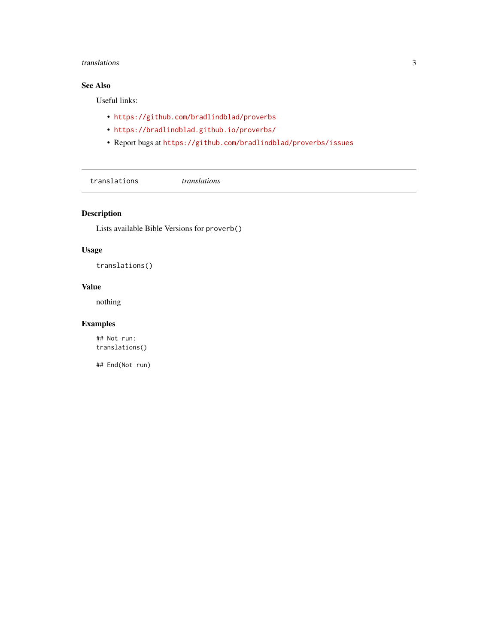#### <span id="page-2-0"></span>translations 3

# See Also

Useful links:

- <https://github.com/bradlindblad/proverbs>
- <https://bradlindblad.github.io/proverbs/>
- Report bugs at <https://github.com/bradlindblad/proverbs/issues>

translations *translations*

# Description

Lists available Bible Versions for proverb()

# Usage

translations()

# Value

nothing

# Examples

## Not run: translations()

## End(Not run)